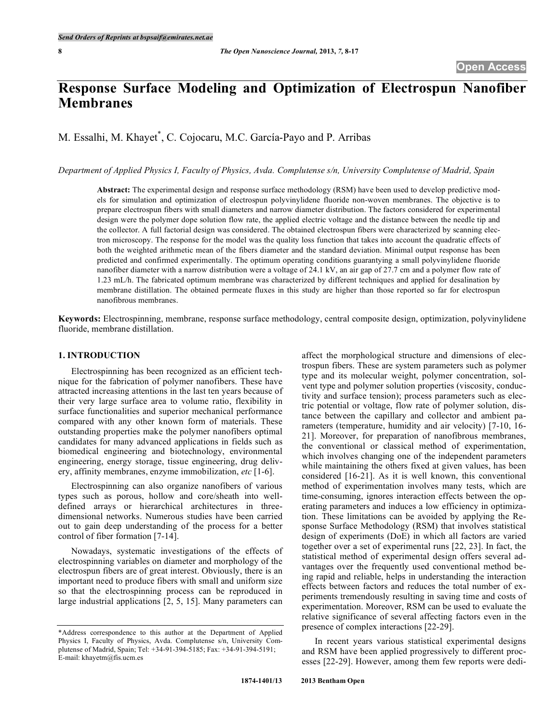# **Response Surface Modeling and Optimization of Electrospun Nanofiber Membranes**

M. Essalhi, M. Khayet \* , C. Cojocaru, M.C. García-Payo and P. Arribas

Department of Applied Physics I, Faculty of Physics, Avda. Complutense s/n, University Complutense of Madrid, Spain

**Abstract:** The experimental design and response surface methodology (RSM) have been used to develop predictive models for simulation and optimization of electrospun polyvinylidene fluoride non-woven membranes. The objective is to prepare electrospun fibers with small diameters and narrow diameter distribution. The factors considered for experimental design were the polymer dope solution flow rate, the applied electric voltage and the distance between the needle tip and the collector. A full factorial design was considered. The obtained electrospun fibers were characterized by scanning electron microscopy. The response for the model was the quality loss function that takes into account the quadratic effects of both the weighted arithmetic mean of the fibers diameter and the standard deviation. Minimal output response has been predicted and confirmed experimentally. The optimum operating conditions guarantying a small polyvinylidene fluoride nanofiber diameter with a narrow distribution were a voltage of 24.1 kV, an air gap of 27.7 cm and a polymer flow rate of 1.23 mL/h. The fabricated optimum membrane was characterized by different techniques and applied for desalination by membrane distillation. The obtained permeate fluxes in this study are higher than those reported so far for electrospun nanofibrous membranes.

**Keywords:** Electrospinning, membrane, response surface methodology, central composite design, optimization, polyvinylidene fluoride, membrane distillation.

#### **1. INTRODUCTION**

Electrospinning has been recognized as an efficient technique for the fabrication of polymer nanofibers. These have attracted increasing attentions in the last ten years because of their very large surface area to volume ratio, flexibility in surface functionalities and superior mechanical performance compared with any other known form of materials. These outstanding properties make the polymer nanofibers optimal candidates for many advanced applications in fields such as biomedical engineering and biotechnology, environmental engineering, energy storage, tissue engineering, drug delivery, affinity membranes, enzyme immobilization, *etc* [1-6].

Electrospinning can also organize nanofibers of various types such as porous, hollow and core/sheath into welldefined arrays or hierarchical architectures in threedimensional networks. Numerous studies have been carried out to gain deep understanding of the process for a better control of fiber formation [7-14].

Nowadays, systematic investigations of the effects of electrospinning variables on diameter and morphology of the electrospun fibers are of great interest. Obviously, there is an important need to produce fibers with small and uniform size so that the electrospinning process can be reproduced in large industrial applications [2, 5, 15]. Many parameters can

affect the morphological structure and dimensions of electrospun fibers. These are system parameters such as polymer type and its molecular weight, polymer concentration, solvent type and polymer solution properties (viscosity, conductivity and surface tension); process parameters such as electric potential or voltage, flow rate of polymer solution, distance between the capillary and collector and ambient parameters (temperature, humidity and air velocity) [7-10, 16- 21]. Moreover, for preparation of nanofibrous membranes, the conventional or classical method of experimentation, which involves changing one of the independent parameters while maintaining the others fixed at given values, has been considered [16-21]. As it is well known, this conventional method of experimentation involves many tests, which are time-consuming, ignores interaction effects between the operating parameters and induces a low efficiency in optimization. These limitations can be avoided by applying the Response Surface Methodology (RSM) that involves statistical design of experiments (DoE) in which all factors are varied together over a set of experimental runs [22, 23]. In fact, the statistical method of experimental design offers several advantages over the frequently used conventional method being rapid and reliable, helps in understanding the interaction effects between factors and reduces the total number of experiments tremendously resulting in saving time and costs of experimentation. Moreover, RSM can be used to evaluate the relative significance of several affecting factors even in the presence of complex interactions [22-29].

In recent years various statistical experimental designs and RSM have been applied progressively to different processes [22-29]. However, among them few reports were dedi-

<sup>\*</sup>Address correspondence to this author at the Department of Applied Physics I, Faculty of Physics, Avda. Complutense s/n, University Complutense of Madrid, Spain; Tel: +34-91-394-5185; Fax: +34-91-394-5191; E-mail: khayetm@fis.ucm.es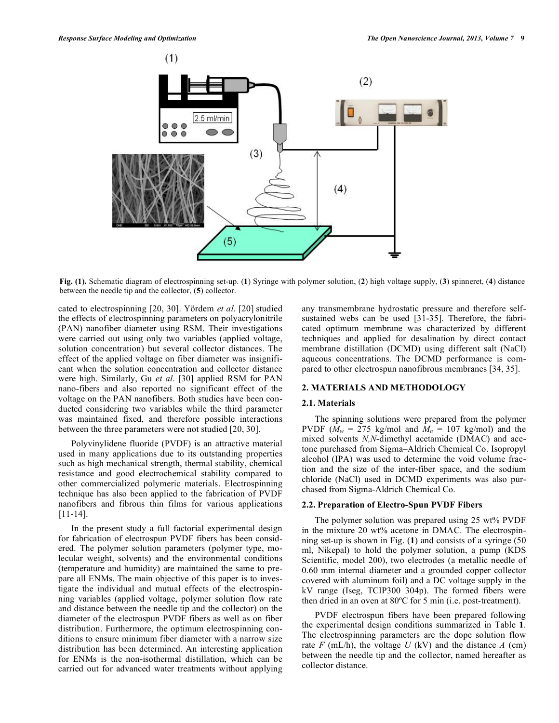

**Fig. (1).** Schematic diagram of electrospinning set-up. (**1**) Syringe with polymer solution, (**2**) high voltage supply, (**3**) spinneret, (**4**) distance between the needle tip and the collector, (**5**) collector.

cated to electrospinning [20, 30]. Yördem *et al*. [20] studied the effects of electrospinning parameters on polyacrylonitrile (PAN) nanofiber diameter using RSM. Their investigations were carried out using only two variables (applied voltage, solution concentration) but several collector distances. The effect of the applied voltage on fiber diameter was insignificant when the solution concentration and collector distance were high. Similarly, Gu *et al*. [30] applied RSM for PAN nano-fibers and also reported no significant effect of the voltage on the PAN nanofibers. Both studies have been conducted considering two variables while the third parameter was maintained fixed, and therefore possible interactions between the three parameters were not studied [20, 30].

Polyvinylidene fluoride (PVDF) is an attractive material used in many applications due to its outstanding properties such as high mechanical strength, thermal stability, chemical resistance and good electrochemical stability compared to other commercialized polymeric materials. Electrospinning technique has also been applied to the fabrication of PVDF nanofibers and fibrous thin films for various applications [11-14].

In the present study a full factorial experimental design for fabrication of electrospun PVDF fibers has been considered. The polymer solution parameters (polymer type, molecular weight, solvents) and the environmental conditions (temperature and humidity) are maintained the same to prepare all ENMs. The main objective of this paper is to investigate the individual and mutual effects of the electrospinning variables (applied voltage, polymer solution flow rate and distance between the needle tip and the collector) on the diameter of the electrospun PVDF fibers as well as on fiber distribution. Furthermore, the optimum electrospinning conditions to ensure minimum fiber diameter with a narrow size distribution has been determined. An interesting application for ENMs is the non-isothermal distillation, which can be carried out for advanced water treatments without applying any transmembrane hydrostatic pressure and therefore selfsustained webs can be used [31-35]. Therefore, the fabricated optimum membrane was characterized by different techniques and applied for desalination by direct contact membrane distillation (DCMD) using different salt (NaCl) aqueous concentrations. The DCMD performance is compared to other electrospun nanofibrous membranes [34, 35].

## **2. MATERIALS AND METHODOLOGY**

# **2.1. Materials**

The spinning solutions were prepared from the polymer PVDF ( $M_w = 275$  kg/mol and  $M_n = 107$  kg/mol) and the mixed solvents *N,N*-dimethyl acetamide (DMAC) and acetone purchased from Sigma–Aldrich Chemical Co. Isopropyl alcohol (IPA) was used to determine the void volume fraction and the size of the inter-fiber space, and the sodium chloride (NaCl) used in DCMD experiments was also purchased from Sigma-Aldrich Chemical Co.

#### **2.2. Preparation of Electro-Spun PVDF Fibers**

The polymer solution was prepared using 25 wt% PVDF in the mixture 20 wt% acetone in DMAC. The electrospinning set-up is shown in Fig. (**1**) and consists of a syringe (50 ml, Nikepal) to hold the polymer solution, a pump (KDS Scientific, model 200), two electrodes (a metallic needle of 0.60 mm internal diameter and a grounded copper collector covered with aluminum foil) and a DC voltage supply in the kV range (Iseg, TCIP300 304p). The formed fibers were then dried in an oven at 80ºC for 5 min (i.e. post-treatment).

PVDF electrospun fibers have been prepared following the experimental design conditions summarized in Table **1**. The electrospinning parameters are the dope solution flow rate  $F$  (mL/h), the voltage  $U$  (kV) and the distance  $A$  (cm) between the needle tip and the collector, named hereafter as collector distance.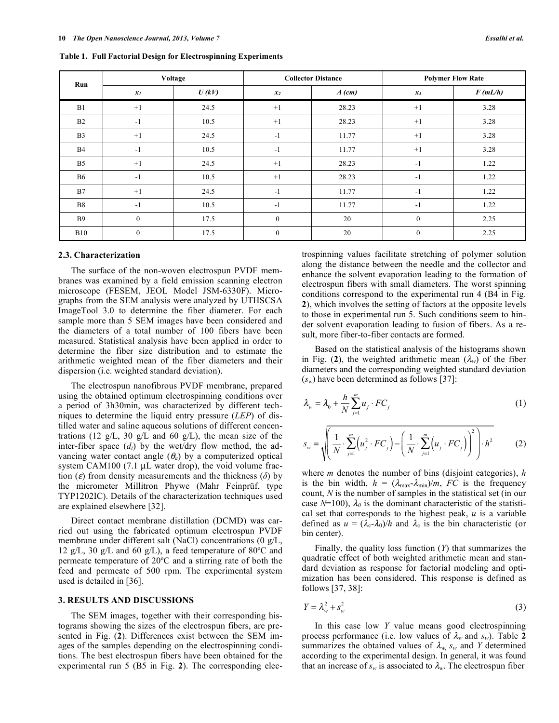| Run            | Voltage          |       |              | <b>Collector Distance</b> | <b>Polymer Flow Rate</b> |         |  |
|----------------|------------------|-------|--------------|---------------------------|--------------------------|---------|--|
|                | $x_I$            | U(kV) | $x_2$        | $A$ (cm)                  | $x_3$                    | F(mL/h) |  |
| B1             | $+1$             | 24.5  | $+1$         | 28.23                     | $+1$                     | 3.28    |  |
| B2             | $-1$             | 10.5  | $+1$         | 28.23                     | $+1$                     | 3.28    |  |
| B <sub>3</sub> | $+1$             | 24.5  | $-1$         | 11.77                     | $+1$                     | 3.28    |  |
| <b>B4</b>      | $-1$             | 10.5  | $-1$         | 11.77                     | $+1$                     | 3.28    |  |
| B <sub>5</sub> | $+1$             | 24.5  | $+1$         | 28.23                     | $-1$                     | 1.22    |  |
| <b>B6</b>      | $-1$             | 10.5  | $+1$         | 28.23                     | $-1$                     | 1.22    |  |
| B7             | $+1$             | 24.5  | $-1$         | 11.77                     | $-1$                     | 1.22    |  |
| <b>B8</b>      | $-1$             | 10.5  | $-1$         | 11.77                     | $-1$                     | 1.22    |  |
| <b>B</b> 9     | $\mathbf{0}$     | 17.5  | $\mathbf{0}$ | 20                        | $\mathbf{0}$             | 2.25    |  |
| <b>B10</b>     | $\boldsymbol{0}$ | 17.5  | $\mathbf{0}$ | 20                        | $\boldsymbol{0}$         | 2.25    |  |

**Table 1. Full Factorial Design for Electrospinning Experiments**

#### **2.3. Characterization**

The surface of the non-woven electrospun PVDF membranes was examined by a field emission scanning electron microscope (FESEM, JEOL Model JSM-6330F). Micrographs from the SEM analysis were analyzed by UTHSCSA ImageTool 3.0 to determine the fiber diameter. For each sample more than 5 SEM images have been considered and the diameters of a total number of 100 fibers have been measured. Statistical analysis have been applied in order to determine the fiber size distribution and to estimate the arithmetic weighted mean of the fiber diameters and their dispersion (i.e. weighted standard deviation).

The electrospun nanofibrous PVDF membrane, prepared using the obtained optimum electrospinning conditions over a period of 3h30min, was characterized by different techniques to determine the liquid entry pressure (*LEP*) of distilled water and saline aqueous solutions of different concentrations (12 g/L, 30 g/L and 60 g/L), the mean size of the inter-fiber space (*di*) by the wet/dry flow method, the advancing water contact angle  $(\theta_a)$  by a computerized optical system CAM100 (7.1 µL water drop), the void volume fraction ( $\varepsilon$ ) from density measurements and the thickness ( $\delta$ ) by the micrometer Millitron Phywe (Mahr Feinprüf, type TYP1202IC). Details of the characterization techniques used are explained elsewhere [32].

Direct contact membrane distillation (DCMD) was carried out using the fabricated optimum electrospun PVDF membrane under different salt (NaCl) concentrations (0 g/L, 12 g/L, 30 g/L and 60 g/L), a feed temperature of 80 $^{\circ}$ C and permeate temperature of 20ºC and a stirring rate of both the feed and permeate of 500 rpm. The experimental system used is detailed in [36].

#### **3. RESULTS AND DISCUSSIONS**

The SEM images, together with their corresponding histograms showing the sizes of the electrospun fibers, are presented in Fig. (**2**). Differences exist between the SEM images of the samples depending on the electrospinning conditions. The best electrospun fibers have been obtained for the experimental run 5 (B5 in Fig. **2**). The corresponding electrospinning values facilitate stretching of polymer solution along the distance between the needle and the collector and enhance the solvent evaporation leading to the formation of electrospun fibers with small diameters. The worst spinning conditions correspond to the experimental run 4 (B4 in Fig. **2**), which involves the setting of factors at the opposite levels to those in experimental run 5. Such conditions seem to hinder solvent evaporation leading to fusion of fibers. As a result, more fiber-to-fiber contacts are formed.

Based on the statistical analysis of the histograms shown in Fig. (2), the weighted arithmetic mean  $(\lambda_w)$  of the fiber diameters and the corresponding weighted standard deviation  $(s_w)$  have been determined as follows [37]:

$$
\lambda_{w} = \lambda_{0} + \frac{h}{N} \sum_{j=1}^{m} u_{j} \cdot FC_{j} \tag{1}
$$

$$
s_w = \sqrt{\left(\frac{1}{N} \cdot \sum_{j=1}^{m} \left(u_j^2 \cdot FC_j\right) - \left(\frac{1}{N} \cdot \sum_{j=1}^{m} \left(u_j \cdot FC_j\right)\right)^2\right) \cdot h^2}
$$
(2)

where *m* denotes the number of bins (disjoint categories), *h* is the bin width,  $h = (\lambda_{\text{max}} - \lambda_{\text{min}})/m$ , *FC* is the frequency count, *N* is the number of samples in the statistical set (in our case  $N=100$ ),  $\lambda_0$  is the dominant characteristic of the statistical set that corresponds to the highest peak, *u* is a variable defined as  $u = (\lambda_c - \lambda_0)/h$  and  $\lambda_c$  is the bin characteristic (or bin center).

Finally, the quality loss function (*Y*) that summarizes the quadratic effect of both weighted arithmetic mean and standard deviation as response for factorial modeling and optimization has been considered. This response is defined as follows [37, 38]:

$$
Y = \lambda_w^2 + s_w^2 \tag{3}
$$

In this case low *Y* value means good electrospinning process performance (i.e. low values of  $\lambda_w$  and  $s_w$ ). Table 2 summarizes the obtained values of  $\lambda_{w}$ ,  $s_{w}$  and *Y* determined according to the experimental design. In general, it was found that an increase of  $s_w$  is associated to  $\lambda_w$ . The electrospun fiber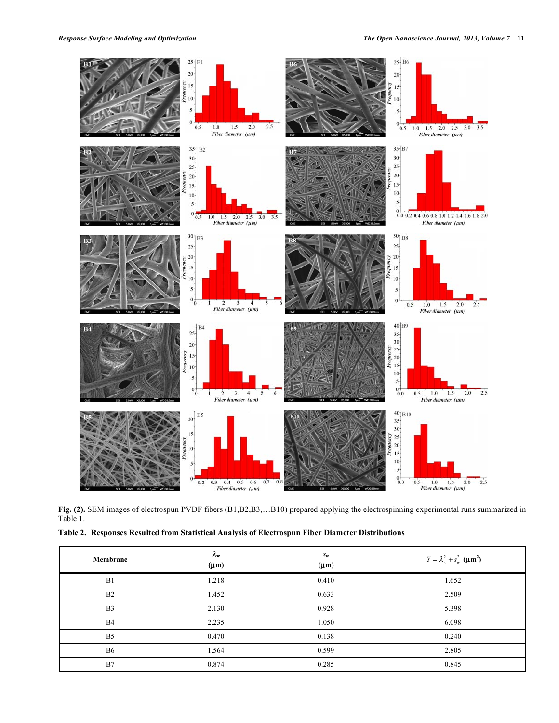

**Fig. (2).** SEM images of electrospun PVDF fibers (B1,B2,B3,…B10) prepared applying the electrospinning experimental runs summarized in Table **1**.

**Table 2. Responses Resulted from Statistical Analysis of Electrospun Fiber Diameter Distributions**

| Membrane       | $\lambda_w$<br>$(\mu m)$ | $S_w$<br>$(\mu m)$ | $Y = \lambda_w^2 + s_w^2$ ( $\mu$ m <sup>2</sup> ) |
|----------------|--------------------------|--------------------|----------------------------------------------------|
| B1             | 1.218                    | 0.410              | 1.652                                              |
| B <sub>2</sub> | 1.452                    | 0.633              | 2.509                                              |
| B <sub>3</sub> | 2.130                    | 0.928              | 5.398                                              |
| <b>B4</b>      | 2.235                    | 1.050              | 6.098                                              |
| B <sub>5</sub> | 0.470                    | 0.138              | 0.240                                              |
| <b>B6</b>      | 1.564                    | 0.599              | 2.805                                              |
| B7             | 0.874                    | 0.285              | 0.845                                              |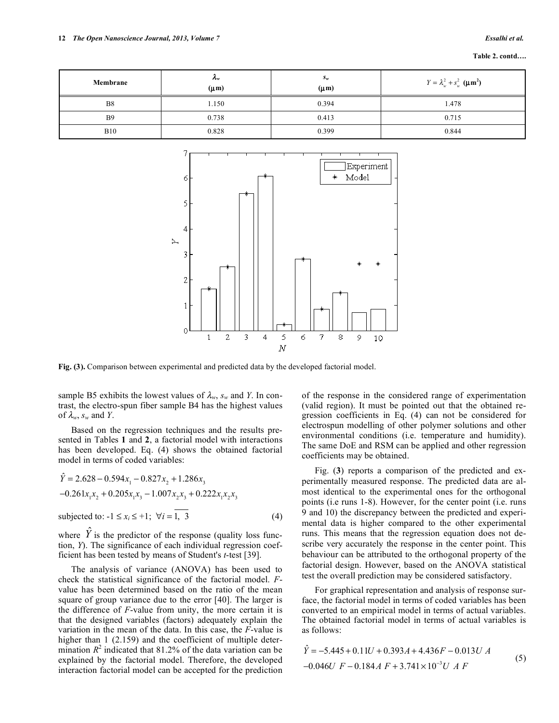| Membrane       | $\mathcal{L}_{w}$<br>$(\mu m)$ | $S_w$<br>$(\mu m)$ | $Y = \lambda_w^2 + s_w^2$ ( $\mu$ m <sup>2</sup> ) |
|----------------|--------------------------------|--------------------|----------------------------------------------------|
| B <sub>8</sub> | 1.150                          | 0.394              | 1.478                                              |
| B <sub>9</sub> | 0.738                          | 0.413              | 0.715                                              |
| <b>B10</b>     | 0.828                          | 0.399              | 0.844                                              |



**Fig. (3).** Comparison between experimental and predicted data by the developed factorial model.

sample B5 exhibits the lowest values of  $\lambda_w$ ,  $s_w$  and *Y*. In contrast, the electro-spun fiber sample B4 has the highest values of  $\lambda_w$ ,  $s_w$  and *Y*.

Based on the regression techniques and the results presented in Tables **1** and **2**, a factorial model with interactions has been developed. Eq. (4) shows the obtained factorial model in terms of coded variables:

$$
\hat{Y} = 2.628 - 0.594x_1 - 0.827x_2 + 1.286x_3
$$
  
-0.261x<sub>1</sub>x<sub>2</sub> + 0.205x<sub>1</sub>x<sub>3</sub> - 1.007x<sub>2</sub>x<sub>3</sub> + 0.222x<sub>1</sub>x<sub>2</sub>x<sub>3</sub>  
subjected to: -1 \le x<sub>i</sub> \le +1; \forall i = \overline{1, 3} (4)

where  $\hat{Y}$  is the predictor of the response (quality loss function, *Y*). The significance of each individual regression coefficient has been tested by means of Student's *t*-test [39].

The analysis of variance (ANOVA) has been used to check the statistical significance of the factorial model. *F*value has been determined based on the ratio of the mean square of group variance due to the error [40]. The larger is the difference of *F*-value from unity, the more certain it is that the designed variables (factors) adequately explain the variation in the mean of the data. In this case, the *F*-value is higher than 1 (2.159) and the coefficient of multiple determination  $R^2$  indicated that 81.2% of the data variation can be explained by the factorial model. Therefore, the developed interaction factorial model can be accepted for the prediction

of the response in the considered range of experimentation (valid region). It must be pointed out that the obtained regression coefficients in Eq. (4) can not be considered for electrospun modelling of other polymer solutions and other environmental conditions (i.e. temperature and humidity). The same DoE and RSM can be applied and other regression coefficients may be obtained.

Fig. (**3**) reports a comparison of the predicted and experimentally measured response. The predicted data are almost identical to the experimental ones for the orthogonal points (i.e runs 1-8). However, for the center point (i.e. runs 9 and 10) the discrepancy between the predicted and experimental data is higher compared to the other experimental runs. This means that the regression equation does not describe very accurately the response in the center point. This behaviour can be attributed to the orthogonal property of the factorial design. However, based on the ANOVA statistical test the overall prediction may be considered satisfactory.

For graphical representation and analysis of response surface, the factorial model in terms of coded variables has been converted to an empirical model in terms of actual variables. The obtained factorial model in terms of actual variables is as follows:

$$
\hat{Y} = -5.445 + 0.11U + 0.393A + 4.436F - 0.013U A
$$
  
-0.046U F - 0.184A F + 3.741×10<sup>-3</sup>U A F (5)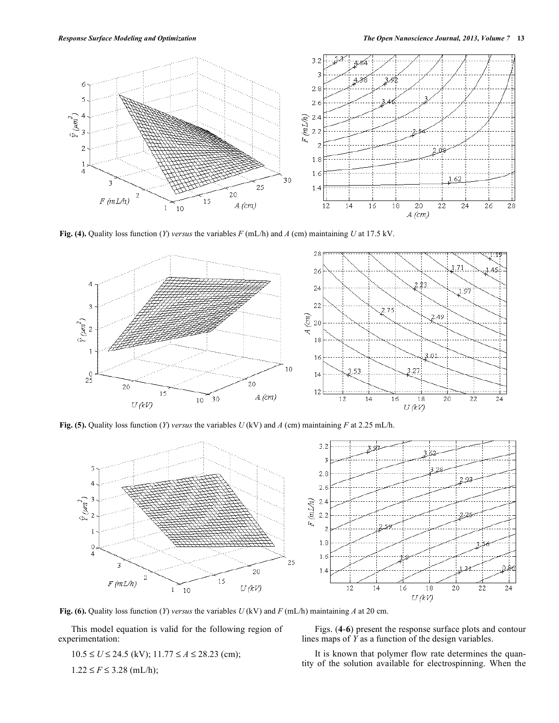

**Fig. (4).** Quality loss function (*Y*) *versus* the variables *F* (mL/h) and *A* (cm) maintaining *U* at 17.5 kV.



**Fig. (5).** Quality loss function (*Y*) *versus* the variables *U* (kV) and *A* (cm) maintaining *F* at 2.25 mL/h.



**Fig. (6).** Quality loss function (*Y*) *versus* the variables *U* (kV) and *F* (mL/h) maintaining *A* at 20 cm.

This model equation is valid for the following region of experimentation:

$$
10.5 \le U \le 24.5
$$
 (kV);  $11.77 \le A \le 28.23$  (cm);

$$
1.22 \le F \le 3.28
$$
 (mL/h);

Figs. (**4**-**6**) present the response surface plots and contour lines maps of *Y* as a function of the design variables.

It is known that polymer flow rate determines the quantity of the solution available for electrospinning. When the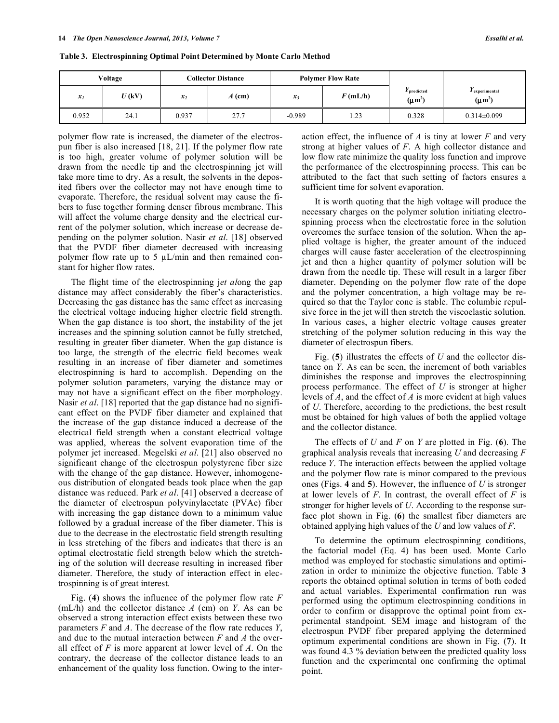|       | Voltage |       | <b>Collector Distance</b> |          | <b>Polymer Flow Rate</b> |                            |                               |
|-------|---------|-------|---------------------------|----------|--------------------------|----------------------------|-------------------------------|
| $x_I$ | U(kV)   | $x_2$ | $A$ (cm)                  | $x_3$    | $F$ (mL/h)               | I predicted<br>$(\mu m^2)$ | I experimental<br>$(\mu m^2)$ |
| 0.952 | 24.1    | 0.937 | 27.7                      | $-0.989$ | 1.23                     | 0.328                      | $0.314 \pm 0.099$             |

**Table 3. Electrospinning Optimal Point Determined by Monte Carlo Method**

polymer flow rate is increased, the diameter of the electrospun fiber is also increased [18, 21]. If the polymer flow rate is too high, greater volume of polymer solution will be drawn from the needle tip and the electrospinning jet will take more time to dry. As a result, the solvents in the deposited fibers over the collector may not have enough time to evaporate. Therefore, the residual solvent may cause the fibers to fuse together forming denser fibrous membrane. This will affect the volume charge density and the electrical current of the polymer solution, which increase or decrease depending on the polymer solution. Nasir *et al*. [18] observed that the PVDF fiber diameter decreased with increasing polymer flow rate up to 5  $\mu$ L/min and then remained constant for higher flow rates.

The flight time of the electrospinning j*et al*ong the gap distance may affect considerably the fiber's characteristics. Decreasing the gas distance has the same effect as increasing the electrical voltage inducing higher electric field strength. When the gap distance is too short, the instability of the jet increases and the spinning solution cannot be fully stretched, resulting in greater fiber diameter. When the gap distance is too large, the strength of the electric field becomes weak resulting in an increase of fiber diameter and sometimes electrospinning is hard to accomplish. Depending on the polymer solution parameters, varying the distance may or may not have a significant effect on the fiber morphology. Nasir *et al*. [18] reported that the gap distance had no significant effect on the PVDF fiber diameter and explained that the increase of the gap distance induced a decrease of the electrical field strength when a constant electrical voltage was applied, whereas the solvent evaporation time of the polymer jet increased. Megelski *et al*. [21] also observed no significant change of the electrospun polystyrene fiber size with the change of the gap distance. However, inhomogeneous distribution of elongated beads took place when the gap distance was reduced. Park *et al*. [41] observed a decrease of the diameter of electrospun polyvinylacetate (PVAc) fiber with increasing the gap distance down to a minimum value followed by a gradual increase of the fiber diameter. This is due to the decrease in the electrostatic field strength resulting in less stretching of the fibers and indicates that there is an optimal electrostatic field strength below which the stretching of the solution will decrease resulting in increased fiber diameter. Therefore, the study of interaction effect in electrospinning is of great interest.

Fig. (**4**) shows the influence of the polymer flow rate *F* (mL/h) and the collector distance *A* (cm) on *Y*. As can be observed a strong interaction effect exists between these two parameters *F* and *A*. The decrease of the flow rate reduces *Y*, and due to the mutual interaction between *F* and *A* the overall effect of *F* is more apparent at lower level of *A*. On the contrary, the decrease of the collector distance leads to an enhancement of the quality loss function. Owing to the interaction effect, the influence of *A* is tiny at lower *F* and very strong at higher values of *F*. A high collector distance and low flow rate minimize the quality loss function and improve the performance of the electrospinning process. This can be attributed to the fact that such setting of factors ensures a sufficient time for solvent evaporation.

It is worth quoting that the high voltage will produce the necessary charges on the polymer solution initiating electrospinning process when the electrostatic force in the solution overcomes the surface tension of the solution. When the applied voltage is higher, the greater amount of the induced charges will cause faster acceleration of the electrospinning jet and then a higher quantity of polymer solution will be drawn from the needle tip. These will result in a larger fiber diameter. Depending on the polymer flow rate of the dope and the polymer concentration, a high voltage may be required so that the Taylor cone is stable. The columbic repulsive force in the jet will then stretch the viscoelastic solution. In various cases, a higher electric voltage causes greater stretching of the polymer solution reducing in this way the diameter of electrospun fibers.

Fig. (**5**) illustrates the effects of *U* and the collector distance on *Y*. As can be seen, the increment of both variables diminishes the response and improves the electrospinning process performance. The effect of *U* is stronger at higher levels of *A*, and the effect of *A* is more evident at high values of *U*. Therefore, according to the predictions, the best result must be obtained for high values of both the applied voltage and the collector distance.

The effects of *U* and *F* on *Y* are plotted in Fig. (**6**). The graphical analysis reveals that increasing *U* and decreasing *F* reduce *Y*. The interaction effects between the applied voltage and the polymer flow rate is minor compared to the previous ones (Figs. **4** and **5**). However, the influence of *U* is stronger at lower levels of *F*. In contrast, the overall effect of *F* is stronger for higher levels of *U*. According to the response surface plot shown in Fig. (**6**) the smallest fiber diameters are obtained applying high values of the *U* and low values of *F*.

To determine the optimum electrospinning conditions, the factorial model (Eq. 4) has been used. Monte Carlo method was employed for stochastic simulations and optimization in order to minimize the objective function. Table **3** reports the obtained optimal solution in terms of both coded and actual variables. Experimental confirmation run was performed using the optimum electrospinning conditions in order to confirm or disapprove the optimal point from experimental standpoint. SEM image and histogram of the electrospun PVDF fiber prepared applying the determined optimum experimental conditions are shown in Fig. (**7**). It was found 4.3 % deviation between the predicted quality loss function and the experimental one confirming the optimal point.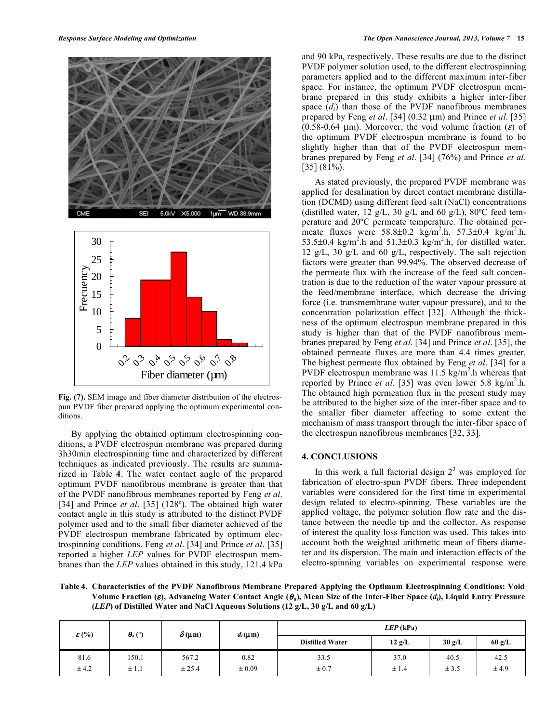



**Fig. (7).** SEM image and fiber diameter distribution of the electrospun PVDF fiber prepared applying the optimum experimental conditions.

By applying the obtained optimum electrospinning conditions, a PVDF electrospun membrane was prepared during 3h30min electrospinning time and characterized by different techniques as indicated previously. The results are summarized in Table **4**. The water contact angle of the prepared optimum PVDF nanofibrous membrane is greater than that of the PVDF nanofibrous membranes reported by Feng *et al*. [34] and Prince *et al.* [35] (128°). The obtained high water contact angle in this study is attributed to the distinct PVDF polymer used and to the small fiber diameter achieved of the PVDF electrospun membrane fabricated by optimum electrospinning conditions. Feng *et al*. [34] and Prince *et al*. [35] reported a higher *LEP* values for PVDF electrospun membranes than the *LEP* values obtained in this study, 121.4 kPa and 90 kPa, respectively. These results are due to the distinct PVDF polymer solution used, to the different electrospinning parameters applied and to the different maximum inter-fiber space. For instance, the optimum PVDF electrospun membrane prepared in this study exhibits a higher inter-fiber space  $(d_i)$  than those of the PVDF nanofibrous membranes prepared by Feng *et al*. [34] (0.32 µm) and Prince *et al*. [35] (0.58-0.64 µm). Moreover, the void volume fraction ( $\varepsilon$ ) of the optimum PVDF electrospun membrane is found to be slightly higher than that of the PVDF electrospun membranes prepared by Feng *et al*. [34] (76%) and Prince *et al*. [35] (81%).

As stated previously, the prepared PVDF membrane was applied for desalination by direct contact membrane distillation (DCMD) using different feed salt (NaCl) concentrations (distilled water, 12 g/L, 30 g/L and 60 g/L), 80 $^{\circ}$ C feed temperature and 20ºC permeate temperature. The obtained permeate fluxes were  $58.8 \pm 0.2$  kg/m<sup>2</sup>.h,  $57.3 \pm 0.4$  kg/m<sup>2</sup>.h, 53.5 $\pm$ 0.4 kg/m<sup>2</sup>.h and 51.3 $\pm$ 0.3 kg/m<sup>2</sup>.h, for distilled water, 12 g/L, 30 g/L and 60 g/L, respectively. The salt rejection factors were greater than 99.94%. The observed decrease of the permeate flux with the increase of the feed salt concentration is due to the reduction of the water vapour pressure at the feed/membrane interface, which decrease the driving force (i.e. transmembrane water vapour pressure), and to the concentration polarization effect [32]. Although the thickness of the optimum electrospun membrane prepared in this study is higher than that of the PVDF nanofibrous membranes prepared by Feng *et al*. [34] and Prince *et al*. [35], the obtained permeate fluxes are more than 4.4 times greater. The highest permeate flux obtained by Feng *et al*. [34] for a PVDF electrospun membrane was  $11.5 \text{ kg/m}^2$ .h whereas that reported by Prince *et al.* [35] was even lower 5.8 kg/m<sup>2</sup>.h. The obtained high permeation flux in the present study may be attributed to the higher size of the inter-fiber space and to the smaller fiber diameter affecting to some extent the mechanism of mass transport through the inter-fiber space of the electrospun nanofibrous membranes [32, 33].

# **4. CONCLUSIONS**

In this work a full factorial design  $2<sup>3</sup>$  was employed for fabrication of electro-spun PVDF fibers. Three independent variables were considered for the first time in experimental design related to electro-spinning. These variables are the applied voltage, the polymer solution flow rate and the distance between the needle tip and the collector. As response of interest the quality loss function was used. This takes into account both the weighted arithmetic mean of fibers diameter and its dispersion. The main and interaction effects of the electro-spinning variables on experimental response were

**Table 4. Characteristics of the PVDF Nanofibrous Membrane Prepared Applying the Optimum Electrospinning Conditions: Void**  Volume Fraction  $(\epsilon)$ , Advancing Water Contact Angle  $(\theta_a)$ , Mean Size of the Inter-Fiber Space  $(d_i)$ , Liquid Entry Pressure **(***LEP***) of Distilled Water and NaCl Aqueous Solutions (12 g/L, 30 g/L and 60 g/L)**

| $\mathcal{E}$ (%) | $\theta_a$ (°) | $\delta(\mu m)$ | $d_i(\mu m)$ | $LEP$ (kPa)            |                  |        |        |
|-------------------|----------------|-----------------|--------------|------------------------|------------------|--------|--------|
|                   |                |                 |              | <b>Distilled Water</b> | $12 \text{ g/L}$ | 30 g/L | 60 g/L |
| 81.6              | 150.1          | 567.2           | 0.82         | 33.5                   | 37.0             | 40.5   | 42.5   |
| ± 4.2             | ±1.1           | ± 25.4          | ±0.09        | $\pm 0.7$              | ±1.4             | ± 3.5  | ±4.9   |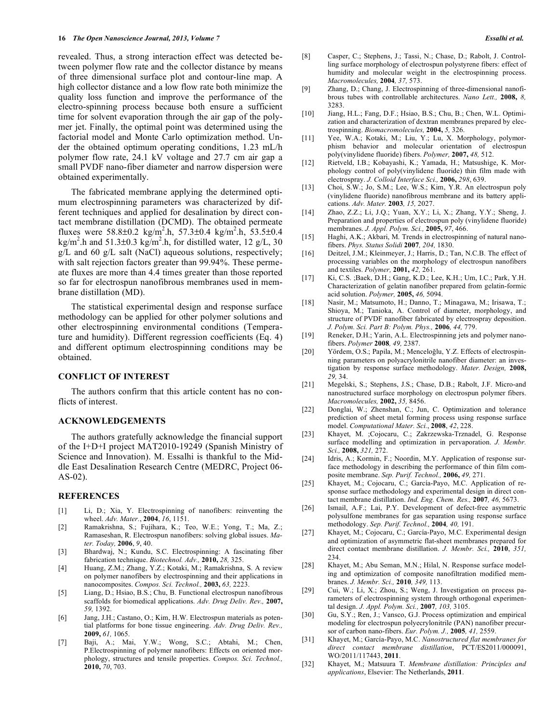revealed. Thus, a strong interaction effect was detected between polymer flow rate and the collector distance by means of three dimensional surface plot and contour-line map. A high collector distance and a low flow rate both minimize the quality loss function and improve the performance of the electro-spinning process because both ensure a sufficient time for solvent evaporation through the air gap of the polymer jet. Finally, the optimal point was determined using the factorial model and Monte Carlo optimization method. Under the obtained optimum operating conditions, 1.23 mL/h polymer flow rate, 24.1 kV voltage and 27.7 cm air gap a small PVDF nano-fiber diameter and narrow dispersion were obtained experimentally.

The fabricated membrane applying the determined optimum electrospinning parameters was characterized by different techniques and applied for desalination by direct contact membrane distillation (DCMD). The obtained permeate fluxes were  $58.8 \pm 0.2$  kg/m<sup>2</sup>.h,  $57.3 \pm 0.4$  kg/m<sup>2</sup>.h,  $53.5 \pm 0.4$ kg/m<sup>2</sup>.h and 51.3 $\pm$ 0.3 kg/m<sup>2</sup>.h, for distilled water, 12 g/L, 30  $g/L$  and 60  $g/L$  salt (NaCl) aqueous solutions, respectively; with salt rejection factors greater than 99.94%. These permeate fluxes are more than 4.4 times greater than those reported so far for electrospun nanofibrous membranes used in membrane distillation (MD).

The statistical experimental design and response surface methodology can be applied for other polymer solutions and other electrospinning environmental conditions (Temperature and humidity). Different regression coefficients (Eq. 4) and different optimum electrospinning conditions may be obtained.

# **CONFLICT OF INTEREST**

The authors confirm that this article content has no conflicts of interest.

#### **ACKNOWLEDGEMENTS**

The authors gratefully acknowledge the financial support of the I+D+I project MAT2010-19249 (Spanish Ministry of Science and Innovation). M. Essalhi is thankful to the Middle East Desalination Research Centre (MEDRC, Project 06- AS-02).

### **REFERENCES**

- [1] Li, D.; Xia, Y. Electrospinning of nanofibers: reinventing the wheel. *Adv. Mater.*, **2004**, *16*, 1151.
- [2] Ramakrishna, S.; Fujihara, K.; Teo, W.E.; Yong, T.; Ma, Z.; Ramaseshan, R. Electrospun nanofibers: solving global issues. *Mater. Today,* **2006**, *9*, 40.
- [3] Bhardwaj, N.; Kundu, S.C. Electrospinning: A fascinating fiber fabrication technique. *Biotechnol. Adv.,* **2010,** *28,* 325.
- [4] Huang, Z.M.; Zhang, Y.Z.; Kotaki, M.; Ramakrishna, S. A review on polymer nanofibers by electrospinning and their applications in nanocomposites. *Compos. Sci. Technol.,* **2003,** *63,* 2223.
- [5] Liang, D.; Hsiao, B.S.; Chu, B. Functional electrospun nanofibrous scaffolds for biomedical applications. *Adv. Drug Deliv. Rev.,* **2007,** *59,* 1392.
- [6] Jang, J.H.; Castano, O.; Kim, H.W. Electrospun materials as potential platforms for bone tissue engineering. *Adv. Drug Deliv. Rev.,* **2009,** *61,* 1065.
- [7] Baji, A.; Mai, Y.W.; Wong, S.C.; Abtahi, M.; Chen, P.Electrospinning of polymer nanofibers: Effects on oriented morphology, structures and tensile properties. *Compos. Sci. Technol.,* **2010,** *70*, 703.
- [8] Casper, C.; Stephens, J.; Tassi, N.; Chase, D.; Rabolt, J. Controlling surface morphology of electrospun polystyrene fibers: effect of humidity and molecular weight in the electrospinning process. *Macromolecules,* **2004***, 37,* 573.
- [9] Zhang, D.; Chang, J. Electrospinning of three-dimensional nanofibrous tubes with controllable architectures. *Nano Lett.,* **2008,** *8,* 3283.
- [10] Jiang, H.L.; Fang, D.F.; Hsiao, B.S.; Chu, B.; Chen, W.L. Optimization and characterization of dextran membranes prepared by electrospinning. *Biomacromolecules,* **2004,** *5,* 326.
- [11] Yee, W.A.; Kotaki, M.; Liu, Y.; Lu, X. Morphology, polymorphism behavior and molecular orientation of electrospun poly(vinylidene fluoride) fibers. *Polymer,* **2007,** *48,* 512.
- [12] Rietveld, I.B.; Kobayashi, K.; Yamada, H.; Matsushige, K. Morphology control of poly(vinylidene fluoride) thin film made with electrospray. *J. Colloid Interface Sci.,* **2006,** *298*, 639.
- [13] Choi, S.W.; Jo, S.M.; Lee, W.S.; Kim, Y.R. An electrospun poly (vinylidene fluoride) nanofibrous membrane and its battery applications. *Adv. Mater.* **2003***, 15,* 2027.
- [14] Zhao, Z.Z.; Li, J.Q.; Yuan, X.Y.; Li, X.; Zhang, Y.Y.; Sheng, J. Preparation and properties of electrospun poly (vinylidene fluoride) membranes. *J. Appl. Polym. Sci.,* **2005,** *97*, 466.
- [15] Haghi, A.K.; Akbari, M. Trends in electrospinning of natural nanofibers. *Phys. Status Solidi* **2007***, 204,* 1830.
- [16] Deitzel, J.M.; Kleinmeyer, J.; Harris, D.; Tan, N.C.B. The effect of processing variables on the morphology of electrospun nanofibers and textiles. *Polymer,* **2001,** *42,* 261.
- [17] Ki, C.S. ;Baek, D.H.; Gang, K.D.; Lee, K.H.; Um, I.C.; Park, Y.H. Characterization of gelatin nanofiber prepared from gelatin-formic acid solution. *Polymer,* **2005,** *46,* 5094.
- [18] Nasir, M.; Matsumoto, H.; Danno, T.; Minagawa, M.; Irisawa, T.; Shioya, M.; Tanioka, A. Control of diameter, morphology, and structure of PVDF nanofiber fabricated by electrospray deposition. *J. Polym. Sci. Part B: Polym. Phys.,* **2006***, 44,* 779.
- [19] Reneker, D.H.; Yarin, A.L. Electrospinning jets and polymer nanofibers. *Polymer* **2008***, 49,* 2387.
- [20] Yördem, O.S.; Papila, M.; Menceloğlu, Y.Z. Effects of electrospinning parameters on polyacrylonitrile nanofiber diameter: an investigation by response surface methodology. *Mater. Design,* **2008,** *29,* 34.
- [21] Megelski, S.; Stephens, J.S.; Chase, D.B.; Rabolt, J.F. Micro-and nanostructured surface morphology on electrospun polymer fibers. *Macromolecules,* **2002,** *35,* 8456.
- [22] Donglai, W.; Zhenshan, C.; Jun, C. Optimization and tolerance prediction of sheet metal forming process using response surface model. *Computational Mater. Sci.*, **2008**, *42*, 228.
- [23] Khayet, M. ;Cojocaru, C.; Zakrzewska-Trznadel, G. Response surface modelling and optimization in pervaporation. *J. Membr. Sci.,* **2008,** *321,* 272.
- [24] Idris, A.; Kormin, F.; Noordin, M.Y. Application of response surface methodology in describing the performance of thin film composite membrane. *Sep. Purif. Technol.,* **2006,** *49,* 271.
- [25] Khayet, M.; Cojocaru, C.; García-Payo, M.C. Application of response surface methodology and experimental design in direct contact membrane distillation. *Ind. Eng. Chem. Res.,* **2007***, 46,* 5673.
- [26] Ismail, A.F.; Lai, P.Y. Development of defect-free asymmetric polysulfone membranes for gas separation using response surface methodology. *Sep. Purif. Technol.,* **2004***, 40,* 191.
- [27] Khayet, M.; Cojocaru, C.; García-Payo, M.C. Experimental design and optimization of asymmetric flat-sheet membranes prepared for direct contact membrane distillation. *J. Membr. Sci.,* **2010**, *351,* 234.
- [28] Khayet, M.; Abu Seman, M.N.; Hilal, N. Response surface modeling and optimization of composite nanofiltration modified membranes. *J. Membr. Sci.,* **2010***, 349,* 113.
- [29] Cui, W.; Li, X.; Zhou, S.; Weng, J. Investigation on process parameters of electrospinning system through orthogonal experimental design. *J. Appl. Polym. Sci.,* **2007***, 103,* 3105.
- [30] Gu, S.Y.; Ren, J.; Vansco, G.J. Process optimization and empirical modeling for electrospun polyecrylonitrile (PAN) nanofiber precursor of carbon nano-fibers. *Eur. Polym. J.,* **2005***, 41,* 2559.
- [31] Khayet, M.; García-Payo, M.C. *Nanostructured flat membranes for direct contact membrane distillation*, PCT/ES2011/000091, WO/2011/117443, **2011**.
- [32] Khayet, M.; Matsuura T. *Membrane distillation: Principles and applications*, Elsevier: The Netherlands, **2011**.